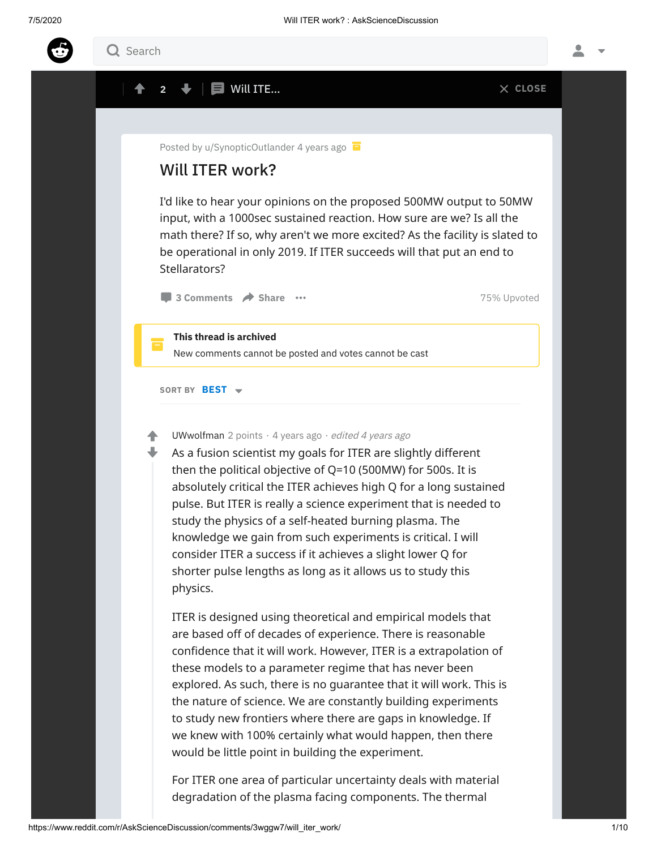

## SORT BY BEST  $\rightarrow$ I'd like to hear your opinions on the proposed 500MW output to 50MW input, with a 1000sec sustained reaction. How sure are we? Is all the math there? If so, why aren't we more excited? As the facility is slated to be operational in only 2019. If ITER succeeds will that put an end to Stellarators? **3 [Comments](https://www.reddit.com/r/AskScienceDiscussion/comments/3wggw7/will_iter_work/) A Share 32 Comments A Share 3 Comments A Share** 3 Comments 25% Upvoted Posted by [u/SynopticOutlander](https://www.reddit.com/user/SynopticOutlander/) 4 [years](https://www.reddit.com/r/AskScienceDiscussion/comments/3wggw7/will_iter_work/) ago Will ITER work? Ē. This thread is archived New comments cannot be posted and votes cannot be cast **[UWwolfman](https://www.reddit.com/user/UWwolfman/)** 2 points  $\cdot$  4 [years](https://www.reddit.com/r/AskScienceDiscussion/comments/3wggw7/will_iter_work/cxwhrq6/) ago  $\cdot$  *edited 4 years ago* As a fusion scientist my goals for ITER are slightly different then the political objective of Q=10 (500MW) for 500s. It is absolutely critical the ITER achieves high Q for a long sustained pulse. But ITER is really a science experiment that is needed to study the physics of a self-heated burning plasma. The knowledge we gain from such experiments is critical. I will consider ITER a success if it achieves a slight lower Q for shorter pulse lengths as long as it allows us to study this physics. ITER is designed using theoretical and empirical models that are based off of decades of experience. There is reasonable confidence that it will work. However, ITER is a extrapolation of these models to a parameter regime that has never been explored. As such, there is no guarantee that it will work. This is the nature of science. We are constantly building experiments to study new frontiers where there are gaps in knowledge. If we knew with 100% certainly what would happen, then there would be little point in building the experiment. For ITER one area of particular uncertainty deals with material degradation of the plasma facing components. The thermal ♠  $\ddag$  $2 \quad \blacklozenge \quad \blacksquare$  Will ITE... Q Search